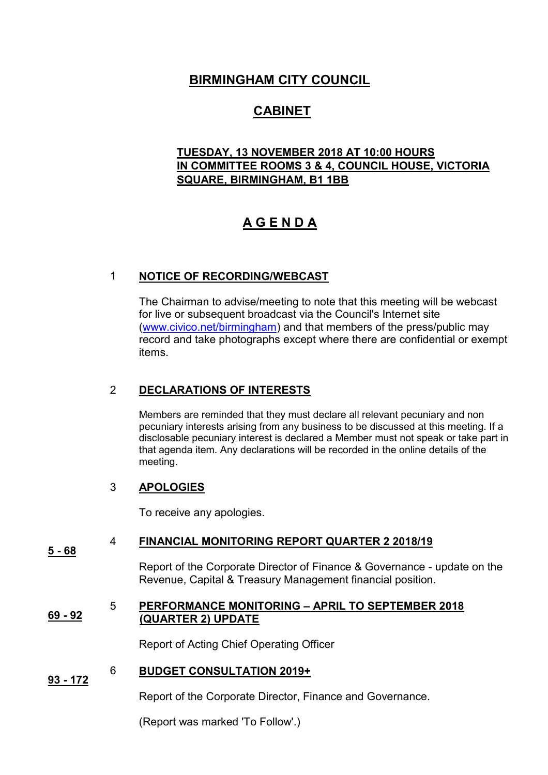# **BIRMINGHAM CITY COUNCIL**

# **CABINET**

# **TUESDAY, 13 NOVEMBER 2018 AT 10:00 HOURS IN COMMITTEE ROOMS 3 & 4, COUNCIL HOUSE, VICTORIA SQUARE, BIRMINGHAM, B1 1BB**

# **A G E N D A**

## 1 **NOTICE OF RECORDING/WEBCAST**

The Chairman to advise/meeting to note that this meeting will be webcast for live or subsequent broadcast via the Council's Internet site [\(www.civico.net/birmingham\)](http://www.civico.net/birmingham) and that members of the press/public may record and take photographs except where there are confidential or exempt items.

# 2 **DECLARATIONS OF INTERESTS**

Members are reminded that they must declare all relevant pecuniary and non pecuniary interests arising from any business to be discussed at this meeting. If a disclosable pecuniary interest is declared a Member must not speak or take part in that agenda item. Any declarations will be recorded in the online details of the meeting.

## 3 **APOLOGIES**

To receive any apologies.

#### **5 - 68** 4 **FINANCIAL MONITORING REPORT QUARTER 2 2018/19**

Report of the Corporate Director of Finance & Governance - update on the Revenue, Capital & Treasury Management financial position.

#### **69 - 92** 5 **PERFORMANCE MONITORING – APRIL TO SEPTEMBER 2018 (QUARTER 2) UPDATE**

Report of Acting Chief Operating Officer

#### **93 - 172**  6 **BUDGET CONSULTATION 2019+**

Report of the Corporate Director, Finance and Governance.

(Report was marked 'To Follow'.)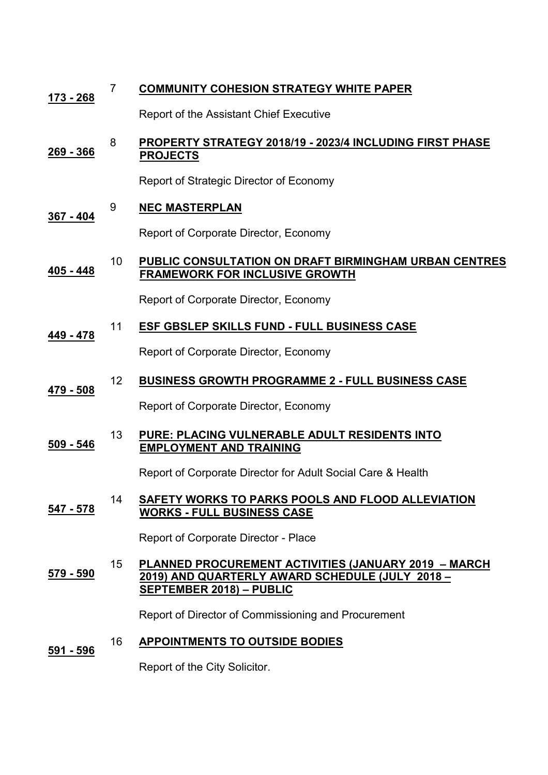| <u> 173 - 268</u> | $\overline{7}$ | <b>COMMUNITY COHESION STRATEGY WHITE PAPER</b>                                                                                                    |
|-------------------|----------------|---------------------------------------------------------------------------------------------------------------------------------------------------|
|                   |                | Report of the Assistant Chief Executive                                                                                                           |
| 269 - 366         | 8              | PROPERTY STRATEGY 2018/19 - 2023/4 INCLUDING FIRST PHASE<br><b>PROJECTS</b>                                                                       |
|                   |                | Report of Strategic Director of Economy                                                                                                           |
| <u>367 - 404</u>  | 9              | <b>NEC MASTERPLAN</b>                                                                                                                             |
|                   |                | Report of Corporate Director, Economy                                                                                                             |
| 405 - 448         | 10             | PUBLIC CONSULTATION ON DRAFT BIRMINGHAM URBAN CENTRES<br><b>FRAMEWORK FOR INCLUSIVE GROWTH</b>                                                    |
|                   |                | Report of Corporate Director, Economy                                                                                                             |
| 449 - 478         | 11             | ESF GBSLEP SKILLS FUND - FULL BUSINESS CASE                                                                                                       |
|                   |                | Report of Corporate Director, Economy                                                                                                             |
| 479 - 508         | 12             | <b>BUSINESS GROWTH PROGRAMME 2 - FULL BUSINESS CASE</b>                                                                                           |
|                   |                | Report of Corporate Director, Economy                                                                                                             |
| 509 - 546         | 13             | PURE: PLACING VULNERABLE ADULT RESIDENTS INTO<br><b>EMPLOYMENT AND TRAINING</b>                                                                   |
|                   |                | Report of Corporate Director for Adult Social Care & Health                                                                                       |
| 547 - 578         | 14             | <b>SAFETY WORKS TO PARKS POOLS AND FLOOD ALLEVIATION</b><br><b>WORKS - FULL BUSINESS CASE</b>                                                     |
|                   |                | Report of Corporate Director - Place                                                                                                              |
| 579 - 590         | 15             | <b>PLANNED PROCUREMENT ACTIVITIES (JANUARY 2019 - MARCH</b><br>2019) AND QUARTERLY AWARD SCHEDULE (JULY 2018 -<br><b>SEPTEMBER 2018) - PUBLIC</b> |
|                   |                | Report of Director of Commissioning and Procurement                                                                                               |
| 591 - 596         | 16             | <b>APPOINTMENTS TO OUTSIDE BODIES</b>                                                                                                             |

Report of the City Solicitor.